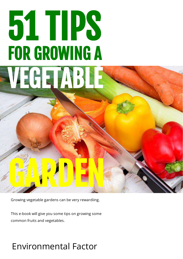# 51 TIPS FOR GROWING A VEGETABLE

Growing vegetable gardens can be very rewardiing.

GARDEN

This e-book will give you some tips on growing some common fruits and vegetables.

### Environmental Factor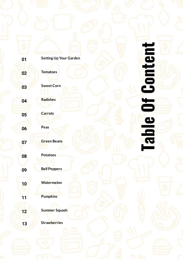| $\frac{2}{\sqrt{2}}$ |
|----------------------|
| É<br>$=$             |
|                      |
|                      |
| $\sim 100$           |
|                      |
|                      |
| ٦                    |
| $\epsilon$           |
| نه                   |
|                      |
| J                    |
|                      |

| 01 | <b>Setting Up Your Garden</b> |
|----|-------------------------------|
| 02 | <b>Tomatoes</b>               |
| 03 | <b>Sweet Corn</b>             |
| 04 | <b>Radishes</b>               |
| 05 | <b>Carrots</b>                |
| 06 | Peas                          |
| 07 | <b>Green Beans</b>            |
| 08 | <b>Potatoes</b>               |
| 09 | <b>Bell Peppers</b>           |
| 10 | <b>Watermelon</b>             |
| 11 | <b>Pumpkins</b>               |
| 12 | Summer Squash                 |
| 13 | <b>Strawberries</b>           |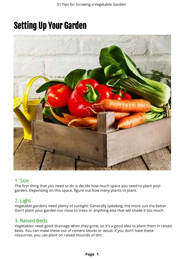# <span id="page-2-0"></span>Setting Up Your Garden



### 1. Size

The first thing that you need to do is decide how much space you need to plant your garden. Depending on this space, figure out how many plants to plant.

### 2. Light

Vegetable gardens need plenty of sunlight. Generally speaking, the more sun the better. Don't plant your garden too close to trees or anything else that will shade it too much.

### 3. Raised Beds

Vegetables need good drainage when they grow, so it's a good idea to plant them in raised beds. You can make these out of cement blocks or wood. If you don't have these resources, you can plant on raised mounds of dirt.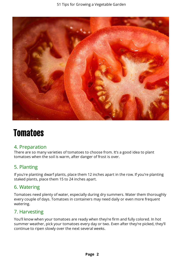

### <span id="page-3-0"></span>**Tomatoes**

#### 4. Preparation

There are so many varieties of tomatoes to choose from. It's a good idea to plant tomatoes when the soil is warm, after danger of frost is over.

### 5. Planting

If you're planting dwarf plants, place them 12 inches apart in the row. If you're planting staked plants, place them 15 to 24 inches apart.

### 6. Watering

Tomatoes need plenty of water, especially during dry summers. Water them thoroughly every couple of days. Tomatoes in containers may need daily or even more frequent watering.

### 7. Harvesting

You'll know when your tomatoes are ready when they're firm and fully colored. In hot summer weather, pick your tomatoes every day or two. Even after they're picked, they'll continue to ripen slowly over the next several weeks.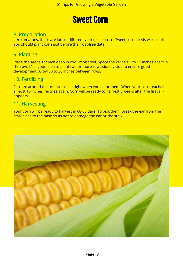### Sweet Corn

### <span id="page-4-0"></span>8. Preparation

Like tomatoes, there are lots of different varieties or corn. Sweet corn needs warm soil. You should plant corn just before the frost-free date.

### 9. Planting

Place the seeds 1/2 inch deep in cool, moist soil. Space the kernels 9 to 12 inches apart in the row. It's a good idea to plant two or more rows side by side to ensure good development. Allow 30 to 36 inches between rows.

#### 10. Fertilizing

Fertilize around the tomato seeds right when you plant them. When your corn reaches almost 10 inches, fertilize again. Corn will be ready to harvest 3 weeks after the first silk appears.

#### 11. Harvesting

Your corn will be ready to harvest in 60-85 days. To pick them, break the ear from the stalk close to the base so as not to damage the ear or the stalk.

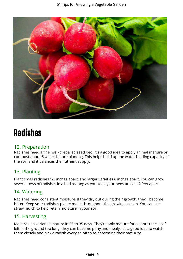

# <span id="page-5-0"></span>Radishes

### 12. Preparation

Radishes need a fine, well-prepared seed bed. It's a good idea to apply animal manure or compost about 6 weeks before planting. This helps build up the water-holding capacity of the soil, and it balances the nutrient supply.

### 13. Planting

Plant small radishes 1-2 inches apart, and larger varieties 6 inches apart. You can grow several rows of radishes in a bed as long as you keep your beds at least 2 feet apart.

### 14. Watering

Radishes need consistent moisture. If they dry out during their growth, they'll become bitter. Keep your radishes plenty moist throughout the growing season. You can use straw mulch to help retain moisture in your soil.

### 15. Harvesting

Most radish varieties mature in 25 to 35 days. They're only mature for a short time, so if left in the ground too long, they can become pithy and mealy. It's a good idea to watch them closely and pick a radish every so often to determine their maturity.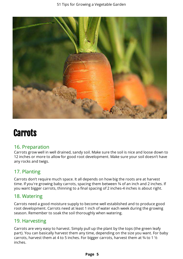

# <span id="page-6-0"></span>**Carrots**

#### 16. Preparation

Carrots grow well in well drained, sandy soil. Make sure the soil is nice and loose down to 12 inches or more to allow for good root development. Make sure your soil doesn't have any rocks and twigs.

### 17. Planting

Carrots don't require much space. It all depends on how big the roots are at harvest time. If you're growing baby carrots, spacing them between 3/4 of an inch and 2 inches. If you want bigger carrots, thinning to a final spacing of 2 inches-4 inches is about right.

### 18. Watering

Carrots need a good moisture supply to become well established and to produce good root development. Carrots need at least 1 inch of water each week during the growing season. Remember to soak the soil thoroughly when watering.

### 19. Harvesting

Carrots are very easy to harvest. Simply pull up the plant by the tops (the green leafy part). You can basically harvest them any time, depending on the size you want. For baby carrots, harvest them at 4 to 5 inches. For bigger carrots, harvest them at  $\frac{3}{4}$  to 1  $\frac{1}{2}$ inches.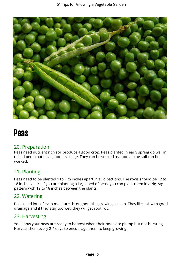

### <span id="page-7-0"></span>Peas

#### 20. Preparation

Peas need nutrient rich soil produce a good crop. Peas planted in early spring do well in raised beds that have good drainage. They can be started as soon as the soil can be worked.

### 21. Planting

Peas need to be planted 1 to 1 1/2 inches apart in all directions. The rows should be 12 to 18 inches apart. If you are planting a large bed of peas, you can plant them in a zig-zag pattern with 12 to 18 inches between the plants.

### 22. Watering

Peas need lots of even moisture throughout the growing season. They like soil with good drainage and if they stay too wet, they will get root rot.

### 23. Harvesting

You know your peas are ready to harvest when their pods are plump but not bursting. Harvest them every 2-4 days to encourage them to keep growing.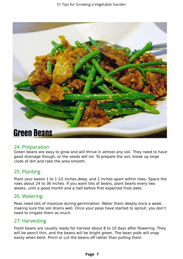

#### <span id="page-8-0"></span>24. Preparation

Green beans are easy to grow and will thrive in almost any soil. They need to have good drainage though, or the seeds will rot. To prepare the soil, break up large clods of dirt and rake the area smooth.

### 25. Planting

Plant your beans  $1$  to  $1\ 1/2$  inches deep, and  $2$  inches apart within rows. Space the rows about 24 to 36 inches. If you want lots of beans, plant beans every two weeks, until a good month and a half before first expected frost date.

#### 26. Watering

Peas need lots of moisture during germination. Water them deeply once a week, making sure the soil drains well. Once your peas have started to sprout, you don't need to irrigate them as much.

#### 27. Harvesting

Fresh beans are usually ready for harvest about 8 to 10 days after flowering. They will be pencil thin, and the beans will be bright green. The bean pods will snap easily when bent. Pinch or cut the beans off rather than pulling them.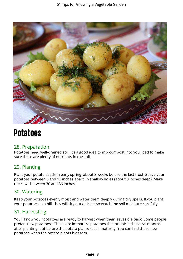

### <span id="page-9-0"></span>Potatoes

#### 28. Preparation

Potatoes need well-drained soil. It's a good idea to mix compost into your bed to make sure there are plenty of nutrients in the soil.

### 29. Planting

Plant your potato seeds in early spring, about 3 weeks before the last frost. Space your potatoes between 6 and 12 inches apart, in shallow holes (about 3 inches deep). Make the rows between 30 and 36 inches.

#### 30. Watering

Keep your potatoes evenly moist and water them deeply during dry spells. If you plant your potatoes in a hill, they will dry out quicker so watch the soil moisture carefully.

### 31. Harvesting

You'll know your potatoes are ready to harvest when their leaves die back. Some people prefer "new potatoes." These are immature potatoes that are picked several months after planting, but before the potato plants reach maturity. You can find these new potatoes when the potato plants blossom.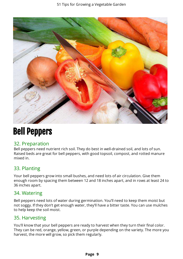

# <span id="page-10-0"></span>Bell Peppers

### 32. Preparation

Bell peppers need nutrient rich soil. They do best in well-drained soil, and lots of sun. Raised beds are great for bell peppers, with good topsoil, compost, and rotted manure mixed in.

### 33. Planting

Your bell peppers grow into small bushes, and need lots of air circulation. Give them enough room by spacing them between 12 and 18 inches apart, and in rows at least 24 to 36 inches apart.

### 34. Watering

Bell peppers need lots of water during germination. You'll need to keep them moist but not soggy. If they don't get enough water, they'll have a bitter taste. You can use mulches to help keep the soil moist.

### 35. Harvesting

You'll know that your bell peppers are ready to harvest when they turn their final color. They can be red, orange, yellow, green, or purple depending on the variety. The more you harvest, the more will grow, so pick them regularly.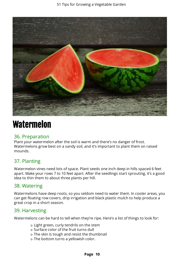

# <span id="page-11-0"></span>Watermelon

### 36. Preparation

Plant your watermelon after the soil is warm and there's no danger of frost. Watermelons grow best on a sandy soil, and it's important to plant them on raised mounds.

### 37. Planting

Watermelon vines need lots of space. Plant seeds one inch deep in hills spaced 6 feet apart. Make your rows 7 to 10 feet apart. After the seedlings start sprouting, it's a good idea to thin them to about three plants per hill.

#### 38. Watering

Watermelons have deep roots, so you seldom need to water them. In cooler areas, you can get floating row covers, drip irrigation and black plastic mulch to help produce a great crop in a short season.

### 39. Harvesting

Watermelons can be hard to tell when they're ripe. Here's a list of things to look for:

- o Light green, curly tendrils on the stem
- o Surface color of the fruit turns dull
- o The skin is tough and resist the thumbnail
- o The bottom turns a yellowish color.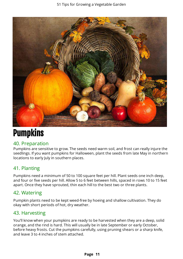

# <span id="page-12-0"></span>**Pumpkins**

### 40. Preparation

Pumpkins are sensitive to grow. The seeds need warm soil, and frost can really injure the seedlings. If you want pumpkins for Halloween, plant the seeds from late May in northern locations to early July in southern places.

### 41. Planting

Pumpkins need a minimum of 50 to 100 square feet per hill. Plant seeds one inch deep, and four or five seeds per hill. Allow 5 to 6 feet between hills, spaced in rows 10 to 15 feet apart. Once they have sprouted, thin each hill to the best two or three plants.

### 42. Watering

Pumpkin plants need to be kept weed-free by hoeing and shallow cultivation. They do okay with short periods of hot, dry weather.

### 43. Harvesting

You'll know when your pumpkins are ready to be harvested when they are a deep, solid orange, and the rind is hard. This will usually be in late September or early October, before heavy frosts. Cut the pumpkins carefully, using pruning shears or a sharp knife, and leave 3 to 4 inches of stem attached.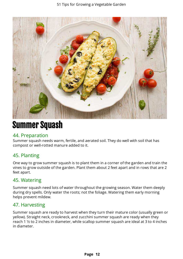

# <span id="page-13-0"></span>Summer Squash

#### 44. Preparation

Summer squash needs warm, fertile, and aerated soil. They do well with soil that has compost or well-rotted manure added to it.

### 45. Planting

One way to grow summer squash is to plant them in a corner of the garden and train the vines to grow outside of the garden. Plant them about 2 feet apart and in rows that are 2 feet apart.

### 45. Watering

Summer squash need lots of water throughout the growing season. Water them deeply during dry spells. Only water the roots; not the foliage. Watering them early morning helps prevent mildew.

### 47. Harvesting

Summer squash are ready to harvest when they turn their mature color (usually green or yellow). Straight neck, crookneck, and zucchini summer squash are ready when they reach 1  $\frac{1}{2}$  to 2 inches in diameter, while scallop summer squash are ideal at 3 to 4 inches in diameter.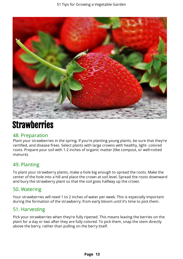

### **Strawberries**

#### 48. Preparation

Plant your strawberries in the spring. If you're planting young plants, be sure that they're certified, and disease frees. Select plants with large crowns with healthy, light- colored roots. Prepare your soil with 1-2 inches of organic matter (like compost, or well-rotted manure).

### 49. Planting

To plant your strawberry plants, make a hole big enough to spread the roots. Make the center of the hole into a hill and place the crown at soil level. Spread the roots downward and bury the strawberry plant so that the soil goes halfway up the crown.

### 50. Watering

Your strawberries will need 1 to 2 inches of water per week. This is especially important during the formation of the strawberry, from early bloom until it's time to pick them.

### 51. Harvesting

Pick your strawberries when they're fully ripened. This means leaving the berries on the plant for a day or two after they are fully colored. To pick them, snap the stem directly above the berry, rather than pulling on the berry itself.